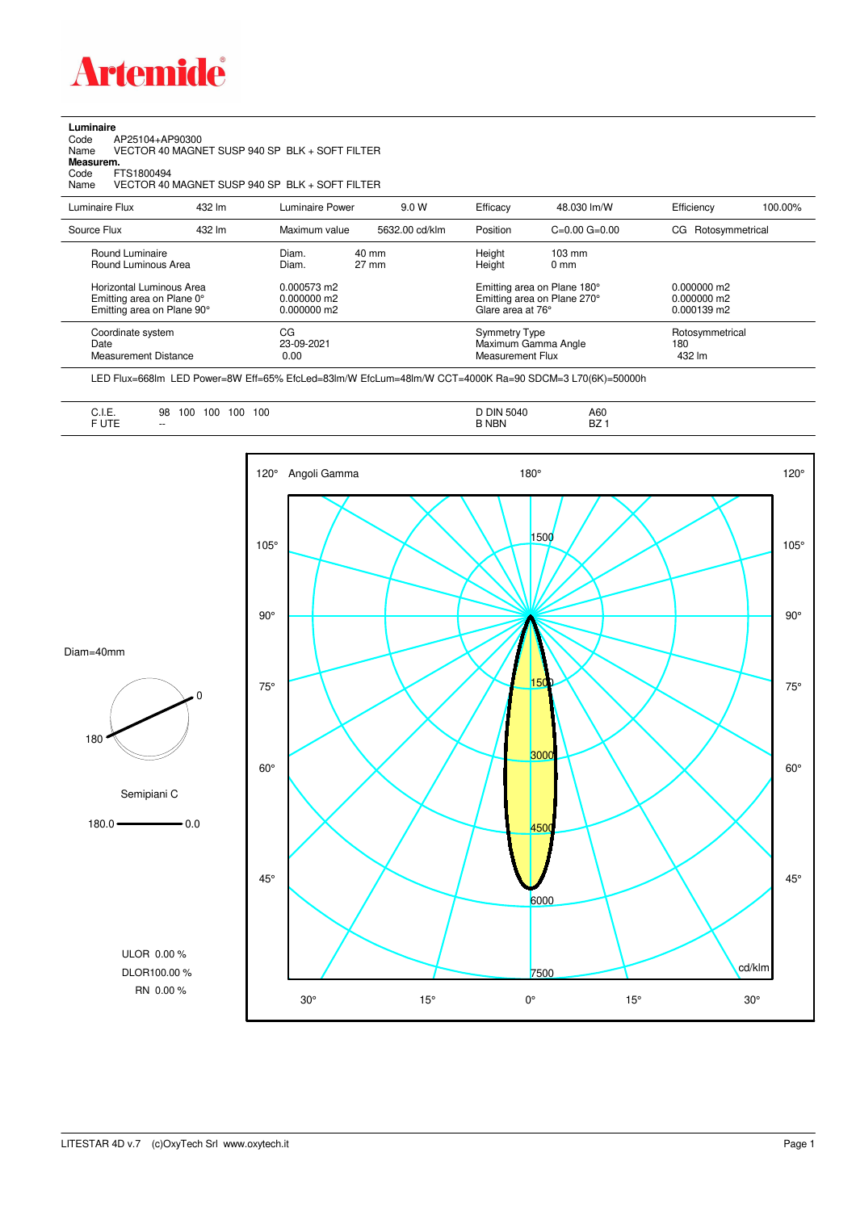

**Luminaire**

## Code AP25104+AP90300 Name VECTOR 40 MAGNET SUSP 940 SP BLK + SOFT FILTER Code A<br>Name V<br>**Measurem.** Code FTS1800494<br>Name VECTOR 40 VECTOR 40 MAGNET SUSP 940 SP BLK + SOFT FILTER Luminaire Flux 432 lm Luminaire Power 9.0 W Efficacy 48.030 lm/W Efficiency 100.00% Source Flux 432 lm Maximum value 5632.00 cd/klm Position C=0.00 G=0.00 CG Rotosymmetrical

| Round Luminaire                                          | Diam.                    | 40 mm | Height                                                          | $103 \text{ mm}$ |                                  |
|----------------------------------------------------------|--------------------------|-------|-----------------------------------------------------------------|------------------|----------------------------------|
| Round Luminous Area                                      | Diam.                    | 27 mm | Height                                                          | $0 \text{ mm}$   |                                  |
| Horizontal Luminous Area                                 | $0.000573$ m2            |       | Emitting area on Plane 180°                                     |                  | $0.000000$ m2                    |
| Emitting area on Plane 0°                                | 0.000000 m2              |       | Emitting area on Plane 270°                                     |                  | 0.000000 m2                      |
| Emitting area on Plane 90°                               | $0.000000$ m2            |       | Glare area at 76°                                               |                  | $0.000139$ m2                    |
| Coordinate system<br>Date<br><b>Measurement Distance</b> | СG<br>23-09-2021<br>0.00 |       | <b>Symmetry Type</b><br>Maximum Gamma Angle<br>Measurement Flux |                  | Rotosymmetrical<br>180<br>432 lm |

LED Flux=668lm LED Power=8W Eff=65% EfcLed=83lm/W EfcLum=48lm/W CCT=4000K Ra=90 SDCM=3 L70(6K)=50000h

| ◡…–<br>$\cdot$ $ -$ | 100<br>100<br>98<br>100<br>100<br>__<br>$- -$ | DIN 5040<br>.<br><b>NBN</b> | A60<br>$\sim$<br>DZ. |  |
|---------------------|-----------------------------------------------|-----------------------------|----------------------|--|
| ______              |                                               |                             |                      |  |